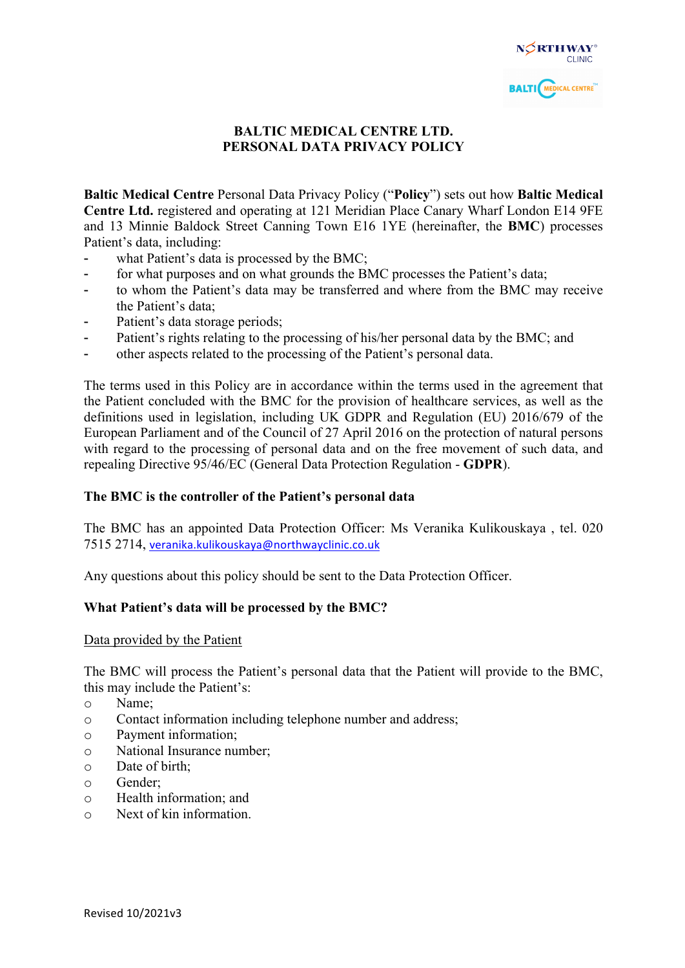# **BALTIC MEDICAL CENTRE LTD. PERSONAL DATA PRIVACY POLICY**

**Baltic Medical Centre** Personal Data Privacy Policy ("**Policy**") sets out how **Baltic Medical Centre Ltd.** registered and operating at 121 Meridian Place Canary Wharf London E14 9FE and 13 Minnie Baldock Street Canning Town E16 1YE (hereinafter, the **BMC**) processes Patient's data, including:

- what Patient's data is processed by the BMC;
- for what purposes and on what grounds the BMC processes the Patient's data;
- to whom the Patient's data may be transferred and where from the BMC may receive the Patient's data;
- Patient's data storage periods;
- Patient's rights relating to the processing of his/her personal data by the BMC; and
- other aspects related to the processing of the Patient's personal data.

The terms used in this Policy are in accordance within the terms used in the agreement that the Patient concluded with the BMC for the provision of healthcare services, as well as the definitions used in legislation, including UK GDPR and Regulation (EU) 2016/679 of the European Parliament and of the Council of 27 April 2016 on the protection of natural persons with regard to the processing of personal data and on the free movement of such data, and repealing Directive 95/46/EC (General Data Protection Regulation - **GDPR**).

#### **The BMC is the controller of the Patient's personal data**

The BMC has an appointed Data Protection Officer: Ms Veranika Kulikouskaya , tel. 020 7515 2714, veranika.kulikouskaya@northwayclinic.co.uk

Any questions about this policy should be sent to the Data Protection Officer.

# **What Patient's data will be processed by the BMC?**

Data provided by the Patient

The BMC will process the Patient's personal data that the Patient will provide to the BMC, this may include the Patient's:

- o Name;
- o Contact information including telephone number and address;
- o Payment information;
- o National Insurance number;
- o Date of birth;
- o Gender;
- o Health information; and
- o Next of kin information.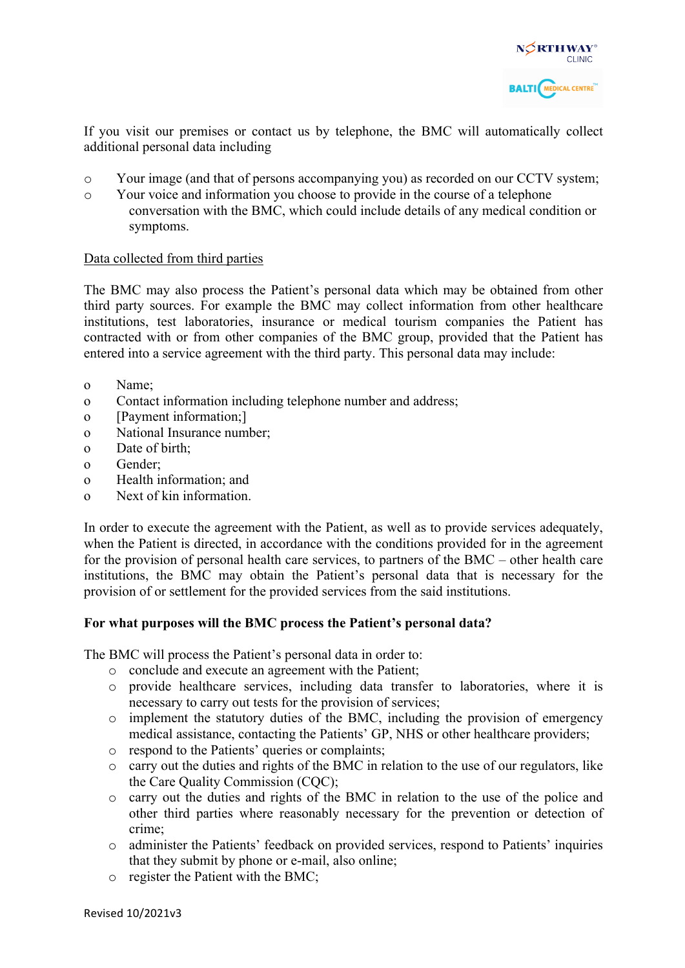

If you visit our premises or contact us by telephone, the BMC will automatically collect additional personal data including

- o Your image (and that of persons accompanying you) as recorded on our CCTV system;
- o Your voice and information you choose to provide in the course of a telephone conversation with the BMC, which could include details of any medical condition or symptoms.

#### Data collected from third parties

The BMC may also process the Patient's personal data which may be obtained from other third party sources. For example the BMC may collect information from other healthcare institutions, test laboratories, insurance or medical tourism companies the Patient has contracted with or from other companies of the BMC group, provided that the Patient has entered into a service agreement with the third party. This personal data may include:

- o Name;
- o Contact information including telephone number and address;
- o [Payment information;]
- o National Insurance number;
- o Date of birth;
- o Gender;
- o Health information; and
- o Next of kin information.

In order to execute the agreement with the Patient, as well as to provide services adequately, when the Patient is directed, in accordance with the conditions provided for in the agreement for the provision of personal health care services, to partners of the BMC – other health care institutions, the BMC may obtain the Patient's personal data that is necessary for the provision of or settlement for the provided services from the said institutions.

#### **For what purposes will the BMC process the Patient's personal data?**

The BMC will process the Patient's personal data in order to:

- o conclude and execute an agreement with the Patient;
- o provide healthcare services, including data transfer to laboratories, where it is necessary to carry out tests for the provision of services;
- o implement the statutory duties of the BMC, including the provision of emergency medical assistance, contacting the Patients' GP, NHS or other healthcare providers;
- o respond to the Patients' queries or complaints;
- o carry out the duties and rights of the BMC in relation to the use of our regulators, like the Care Quality Commission (CQC);
- o carry out the duties and rights of the BMC in relation to the use of the police and other third parties where reasonably necessary for the prevention or detection of crime;
- o administer the Patients' feedback on provided services, respond to Patients' inquiries that they submit by phone or e-mail, also online;
- o register the Patient with the BMC;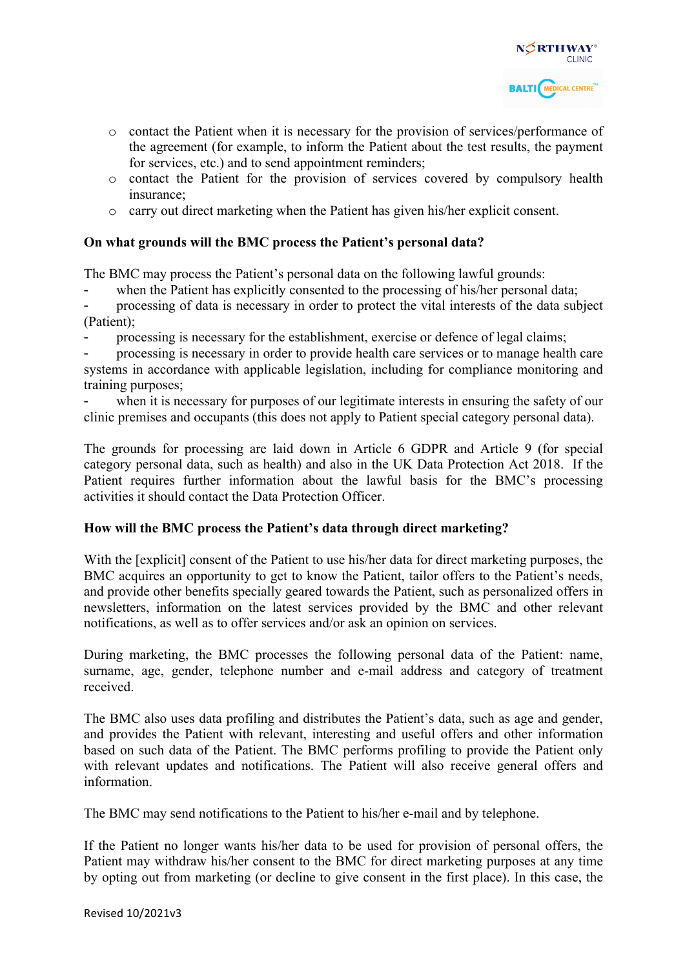

- o contact the Patient when it is necessary for the provision of services/performance of the agreement (for example, to inform the Patient about the test results, the payment for services, etc.) and to send appointment reminders;
- o contact the Patient for the provision of services covered by compulsory health insurance;
- o carry out direct marketing when the Patient has given his/her explicit consent.

### **On what grounds will the BMC process the Patient's personal data?**

The BMC may process the Patient's personal data on the following lawful grounds:

when the Patient has explicitly consented to the processing of his/her personal data;

processing of data is necessary in order to protect the vital interests of the data subject (Patient);

- processing is necessary for the establishment, exercise or defence of legal claims;

processing is necessary in order to provide health care services or to manage health care systems in accordance with applicable legislation, including for compliance monitoring and training purposes;

when it is necessary for purposes of our legitimate interests in ensuring the safety of our clinic premises and occupants (this does not apply to Patient special category personal data).

The grounds for processing are laid down in Article 6 GDPR and Article 9 (for special category personal data, such as health) and also in the UK Data Protection Act 2018. If the Patient requires further information about the lawful basis for the BMC's processing activities it should contact the Data Protection Officer.

#### **How will the BMC process the Patient's data through direct marketing?**

With the [explicit] consent of the Patient to use his/her data for direct marketing purposes, the BMC acquires an opportunity to get to know the Patient, tailor offers to the Patient's needs, and provide other benefits specially geared towards the Patient, such as personalized offers in newsletters, information on the latest services provided by the BMC and other relevant notifications, as well as to offer services and/or ask an opinion on services.

During marketing, the BMC processes the following personal data of the Patient: name, surname, age, gender, telephone number and e-mail address and category of treatment received.

The BMC also uses data profiling and distributes the Patient's data, such as age and gender, and provides the Patient with relevant, interesting and useful offers and other information based on such data of the Patient. The BMC performs profiling to provide the Patient only with relevant updates and notifications. The Patient will also receive general offers and information.

The BMC may send notifications to the Patient to his/her e-mail and by telephone.

If the Patient no longer wants his/her data to be used for provision of personal offers, the Patient may withdraw his/her consent to the BMC for direct marketing purposes at any time by opting out from marketing (or decline to give consent in the first place). In this case, the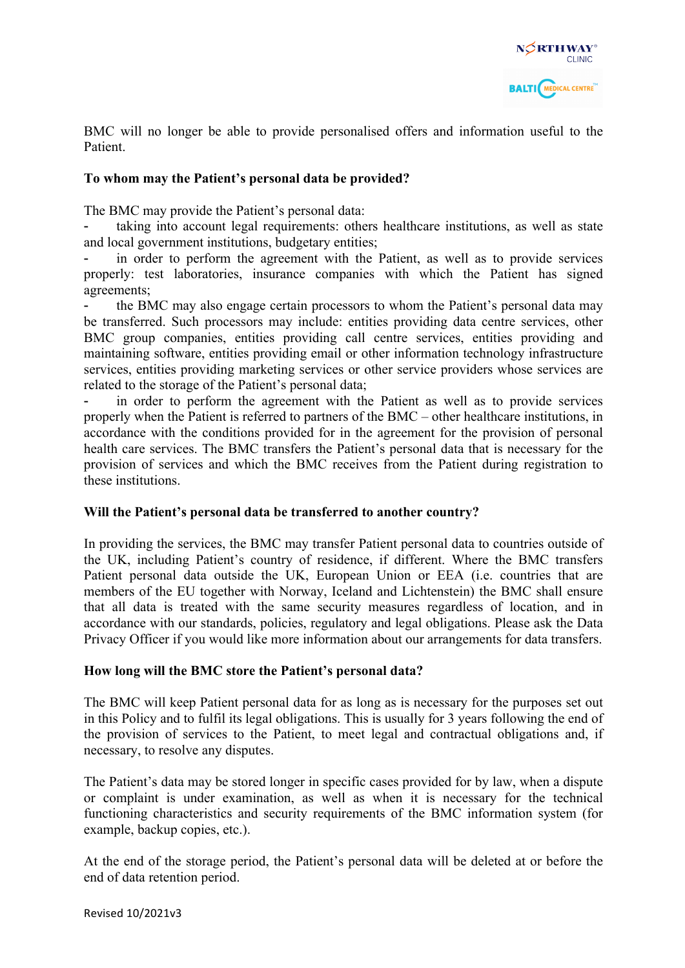

BMC will no longer be able to provide personalised offers and information useful to the Patient.

### **To whom may the Patient's personal data be provided?**

The BMC may provide the Patient's personal data:

taking into account legal requirements: others healthcare institutions, as well as state and local government institutions, budgetary entities;

in order to perform the agreement with the Patient, as well as to provide services properly: test laboratories, insurance companies with which the Patient has signed agreements;

- the BMC may also engage certain processors to whom the Patient's personal data may be transferred. Such processors may include: entities providing data centre services, other BMC group companies, entities providing call centre services, entities providing and maintaining software, entities providing email or other information technology infrastructure services, entities providing marketing services or other service providers whose services are related to the storage of the Patient's personal data;

in order to perform the agreement with the Patient as well as to provide services properly when the Patient is referred to partners of the BMC – other healthcare institutions, in accordance with the conditions provided for in the agreement for the provision of personal health care services. The BMC transfers the Patient's personal data that is necessary for the provision of services and which the BMC receives from the Patient during registration to these institutions.

#### **Will the Patient's personal data be transferred to another country?**

In providing the services, the BMC may transfer Patient personal data to countries outside of the UK, including Patient's country of residence, if different. Where the BMC transfers Patient personal data outside the UK, European Union or EEA (i.e. countries that are members of the EU together with Norway, Iceland and Lichtenstein) the BMC shall ensure that all data is treated with the same security measures regardless of location, and in accordance with our standards, policies, regulatory and legal obligations. Please ask the Data Privacy Officer if you would like more information about our arrangements for data transfers.

#### **How long will the BMC store the Patient's personal data?**

The BMC will keep Patient personal data for as long as is necessary for the purposes set out in this Policy and to fulfil its legal obligations. This is usually for 3 years following the end of the provision of services to the Patient, to meet legal and contractual obligations and, if necessary, to resolve any disputes.

The Patient's data may be stored longer in specific cases provided for by law, when a dispute or complaint is under examination, as well as when it is necessary for the technical functioning characteristics and security requirements of the BMC information system (for example, backup copies, etc.).

At the end of the storage period, the Patient's personal data will be deleted at or before the end of data retention period.